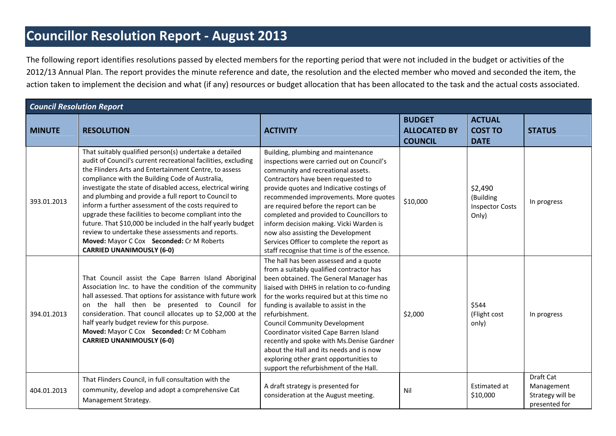## **Councillor Resolution Report ‐ August 2013**

The following report identifies resolutions passed by elected members for the reporting period that were not included in the budget or activities of the 2012/13 Annual Plan. The report provides the minute reference and date, the resolution and the elected member who moved and seconded the item, the action taken to implement the decision and what (if any) resources or budget allocation that has been allocated to the task and the actual costs associated.

| <b>Council Resolution Report</b> |                                                                                                                                                                                                                                                                                                                                                                                                                                                                                                                                                                                                                                                                                   |                                                                                                                                                                                                                                                                                                                                                                                                                                                                                                                                                    |                                                        |                                                         |                                                              |  |
|----------------------------------|-----------------------------------------------------------------------------------------------------------------------------------------------------------------------------------------------------------------------------------------------------------------------------------------------------------------------------------------------------------------------------------------------------------------------------------------------------------------------------------------------------------------------------------------------------------------------------------------------------------------------------------------------------------------------------------|----------------------------------------------------------------------------------------------------------------------------------------------------------------------------------------------------------------------------------------------------------------------------------------------------------------------------------------------------------------------------------------------------------------------------------------------------------------------------------------------------------------------------------------------------|--------------------------------------------------------|---------------------------------------------------------|--------------------------------------------------------------|--|
| <b>MINUTE</b>                    | <b>RESOLUTION</b>                                                                                                                                                                                                                                                                                                                                                                                                                                                                                                                                                                                                                                                                 | <b>ACTIVITY</b>                                                                                                                                                                                                                                                                                                                                                                                                                                                                                                                                    | <b>BUDGET</b><br><b>ALLOCATED BY</b><br><b>COUNCIL</b> | <b>ACTUAL</b><br><b>COST TO</b><br><b>DATE</b>          | <b>STATUS</b>                                                |  |
| 393.01.2013                      | That suitably qualified person(s) undertake a detailed<br>audit of Council's current recreational facilities, excluding<br>the Flinders Arts and Entertainment Centre, to assess<br>compliance with the Building Code of Australia,<br>investigate the state of disabled access, electrical wiring<br>and plumbing and provide a full report to Council to<br>inform a further assessment of the costs required to<br>upgrade these facilities to become compliant into the<br>future. That \$10,000 be included in the half yearly budget<br>review to undertake these assessments and reports.<br>Moved: Mayor C Cox Seconded: Cr M Roberts<br><b>CARRIED UNANIMOUSLY (6-0)</b> | Building, plumbing and maintenance<br>inspections were carried out on Council's<br>community and recreational assets.<br>Contractors have been requested to<br>provide quotes and Indicative costings of<br>recommended improvements. More quotes<br>are required before the report can be<br>completed and provided to Councillors to<br>inform decision making. Vicki Warden is<br>now also assisting the Development<br>Services Officer to complete the report as<br>staff recognise that time is of the essence.                              | \$10,000                                               | \$2,490<br>(Building<br><b>Inspector Costs</b><br>Only) | In progress                                                  |  |
| 394.01.2013                      | That Council assist the Cape Barren Island Aboriginal<br>Association Inc. to have the condition of the community<br>hall assessed. That options for assistance with future work<br>on the hall then be presented to Council for<br>consideration. That council allocates up to \$2,000 at the<br>half yearly budget review for this purpose.<br>Moved: Mayor C Cox Seconded: Cr M Cobham<br><b>CARRIED UNANIMOUSLY (6-0)</b>                                                                                                                                                                                                                                                      | The hall has been assessed and a quote<br>from a suitably qualified contractor has<br>been obtained. The General Manager has<br>liaised with DHHS in relation to co-funding<br>for the works required but at this time no<br>funding is available to assist in the<br>refurbishment.<br><b>Council Community Development</b><br>Coordinator visited Cape Barren Island<br>recently and spoke with Ms.Denise Gardner<br>about the Hall and its needs and is now<br>exploring other grant opportunities to<br>support the refurbishment of the Hall. | \$2,000                                                | \$544<br>(Flight cost<br>only)                          | In progress                                                  |  |
| 404.01.2013                      | That Flinders Council, in full consultation with the<br>community, develop and adopt a comprehensive Cat<br>Management Strategy.                                                                                                                                                                                                                                                                                                                                                                                                                                                                                                                                                  | A draft strategy is presented for<br>consideration at the August meeting.                                                                                                                                                                                                                                                                                                                                                                                                                                                                          | Nil                                                    | Estimated at<br>\$10,000                                | Draft Cat<br>Management<br>Strategy will be<br>presented for |  |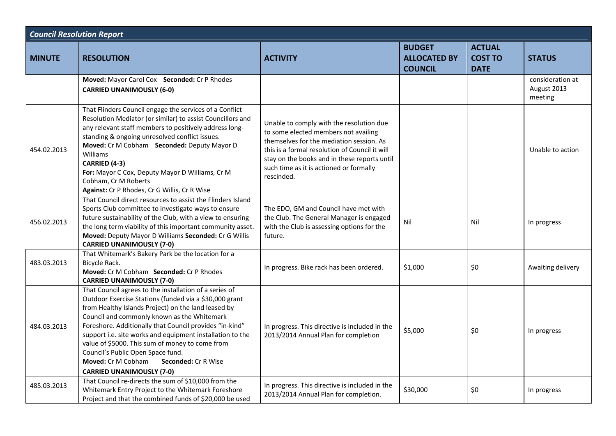| <b>Council Resolution Report</b> |                                                                                                                                                                                                                                                                                                                                                                                                                                                                                                                         |                                                                                                                                                                                                                                                                                         |                                                        |                                                |                                            |  |  |
|----------------------------------|-------------------------------------------------------------------------------------------------------------------------------------------------------------------------------------------------------------------------------------------------------------------------------------------------------------------------------------------------------------------------------------------------------------------------------------------------------------------------------------------------------------------------|-----------------------------------------------------------------------------------------------------------------------------------------------------------------------------------------------------------------------------------------------------------------------------------------|--------------------------------------------------------|------------------------------------------------|--------------------------------------------|--|--|
| <b>MINUTE</b>                    | <b>RESOLUTION</b>                                                                                                                                                                                                                                                                                                                                                                                                                                                                                                       | <b>ACTIVITY</b>                                                                                                                                                                                                                                                                         | <b>BUDGET</b><br><b>ALLOCATED BY</b><br><b>COUNCIL</b> | <b>ACTUAL</b><br><b>COST TO</b><br><b>DATE</b> | <b>STATUS</b>                              |  |  |
|                                  | Moved: Mayor Carol Cox Seconded: Cr P Rhodes<br><b>CARRIED UNANIMOUSLY (6-0)</b>                                                                                                                                                                                                                                                                                                                                                                                                                                        |                                                                                                                                                                                                                                                                                         |                                                        |                                                | consideration at<br>August 2013<br>meeting |  |  |
| 454.02.2013                      | That Flinders Council engage the services of a Conflict<br>Resolution Mediator (or similar) to assist Councillors and<br>any relevant staff members to positively address long-<br>standing & ongoing unresolved conflict issues.<br>Moved: Cr M Cobham Seconded: Deputy Mayor D<br>Williams<br>CARRIED (4-3)<br>For: Mayor C Cox, Deputy Mayor D Williams, Cr M<br>Cobham, Cr M Roberts<br>Against: Cr P Rhodes, Cr G Willis, Cr R Wise                                                                                | Unable to comply with the resolution due<br>to some elected members not availing<br>themselves for the mediation session. As<br>this is a formal resolution of Council it will<br>stay on the books and in these reports until<br>such time as it is actioned or formally<br>rescinded. |                                                        |                                                | Unable to action                           |  |  |
| 456.02.2013                      | That Council direct resources to assist the Flinders Island<br>Sports Club committee to investigate ways to ensure<br>future sustainability of the Club, with a view to ensuring<br>the long term viability of this important community asset.<br>Moved: Deputy Mayor D Williams Seconded: Cr G Willis<br><b>CARRIED UNANIMOUSLY (7-0)</b>                                                                                                                                                                              | The EDO, GM and Council have met with<br>the Club. The General Manager is engaged<br>with the Club is assessing options for the<br>future.                                                                                                                                              | Nil                                                    | Nil                                            | In progress                                |  |  |
| 483.03.2013                      | That Whitemark's Bakery Park be the location for a<br>Bicycle Rack.<br>Moved: Cr M Cobham Seconded: Cr P Rhodes<br><b>CARRIED UNANIMOUSLY (7-0)</b>                                                                                                                                                                                                                                                                                                                                                                     | In progress. Bike rack has been ordered.                                                                                                                                                                                                                                                | \$1,000                                                | \$0                                            | Awaiting delivery                          |  |  |
| 484.03.2013                      | That Council agrees to the installation of a series of<br>Outdoor Exercise Stations (funded via a \$30,000 grant<br>from Healthy Islands Project) on the land leased by<br>Council and commonly known as the Whitemark<br>Foreshore. Additionally that Council provides "in-kind"<br>support i.e. site works and equipment installation to the<br>value of \$5000. This sum of money to come from<br>Council's Public Open Space fund.<br>Moved: Cr M Cobham<br>Seconded: Cr R Wise<br><b>CARRIED UNANIMOUSLY (7-0)</b> | In progress. This directive is included in the<br>2013/2014 Annual Plan for completion                                                                                                                                                                                                  | \$5,000                                                | \$0                                            | In progress                                |  |  |
| 485.03.2013                      | That Council re-directs the sum of \$10,000 from the<br>Whitemark Entry Project to the Whitemark Foreshore<br>Project and that the combined funds of \$20,000 be used                                                                                                                                                                                                                                                                                                                                                   | In progress. This directive is included in the<br>2013/2014 Annual Plan for completion.                                                                                                                                                                                                 | \$30,000                                               | \$0                                            | In progress                                |  |  |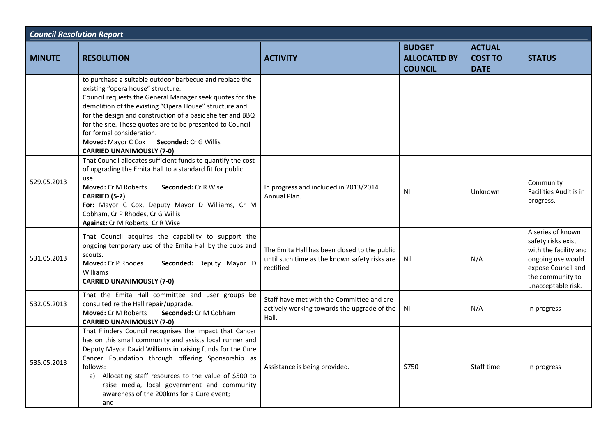| <b>Council Resolution Report</b> |                                                                                                                                                                                                                                                                                                                                                                                                                                                                             |                                                                                                             |                                                        |                                                |                                                                                                                                                       |  |
|----------------------------------|-----------------------------------------------------------------------------------------------------------------------------------------------------------------------------------------------------------------------------------------------------------------------------------------------------------------------------------------------------------------------------------------------------------------------------------------------------------------------------|-------------------------------------------------------------------------------------------------------------|--------------------------------------------------------|------------------------------------------------|-------------------------------------------------------------------------------------------------------------------------------------------------------|--|
| <b>MINUTE</b>                    | <b>RESOLUTION</b>                                                                                                                                                                                                                                                                                                                                                                                                                                                           | <b>ACTIVITY</b>                                                                                             | <b>BUDGET</b><br><b>ALLOCATED BY</b><br><b>COUNCIL</b> | <b>ACTUAL</b><br><b>COST TO</b><br><b>DATE</b> | <b>STATUS</b>                                                                                                                                         |  |
|                                  | to purchase a suitable outdoor barbecue and replace the<br>existing "opera house" structure.<br>Council requests the General Manager seek quotes for the<br>demolition of the existing "Opera House" structure and<br>for the design and construction of a basic shelter and BBQ<br>for the site. These quotes are to be presented to Council<br>for formal consideration.<br><b>Moved: Mayor C Cox</b><br><b>Seconded: Cr G Willis</b><br><b>CARRIED UNANIMOUSLY (7-0)</b> |                                                                                                             |                                                        |                                                |                                                                                                                                                       |  |
| 529.05.2013                      | That Council allocates sufficient funds to quantify the cost<br>of upgrading the Emita Hall to a standard fit for public<br>use.<br>Moved: Cr M Roberts<br><b>Seconded: Cr R Wise</b><br><b>CARRIED (5-2)</b><br>For: Mayor C Cox, Deputy Mayor D Williams, Cr M<br>Cobham, Cr P Rhodes, Cr G Willis<br>Against: Cr M Roberts, Cr R Wise                                                                                                                                    | In progress and included in 2013/2014<br>Annual Plan.                                                       | NII                                                    | Unknown                                        | Community<br>Facilities Audit is in<br>progress.                                                                                                      |  |
| 531.05.2013                      | That Council acquires the capability to support the<br>ongoing temporary use of the Emita Hall by the cubs and<br>scouts.<br>Moved: Cr P Rhodes<br>Seconded: Deputy Mayor D<br>Williams<br><b>CARRIED UNANIMOUSLY (7-0)</b>                                                                                                                                                                                                                                                 | The Emita Hall has been closed to the public<br>until such time as the known safety risks are<br>rectified. | Nil                                                    | N/A                                            | A series of known<br>safety risks exist<br>with the facility and<br>ongoing use would<br>expose Council and<br>the community to<br>unacceptable risk. |  |
| 532.05.2013                      | That the Emita Hall committee and user groups be<br>consulted re the Hall repair/upgrade.<br>Seconded: Cr M Cobham<br>Moved: Cr M Roberts<br><b>CARRIED UNANIMOUSLY (7-0)</b>                                                                                                                                                                                                                                                                                               | Staff have met with the Committee and are<br>actively working towards the upgrade of the<br>Hall.           | <b>NII</b>                                             | N/A                                            | In progress                                                                                                                                           |  |
| 535.05.2013                      | That Flinders Council recognises the impact that Cancer<br>has on this small community and assists local runner and<br>Deputy Mayor David Williams in raising funds for the Cure<br>Cancer Foundation through offering Sponsorship as<br>follows:<br>a) Allocating staff resources to the value of \$500 to<br>raise media, local government and community<br>awareness of the 200kms for a Cure event;<br>and                                                              | Assistance is being provided.                                                                               | \$750                                                  | Staff time                                     | In progress                                                                                                                                           |  |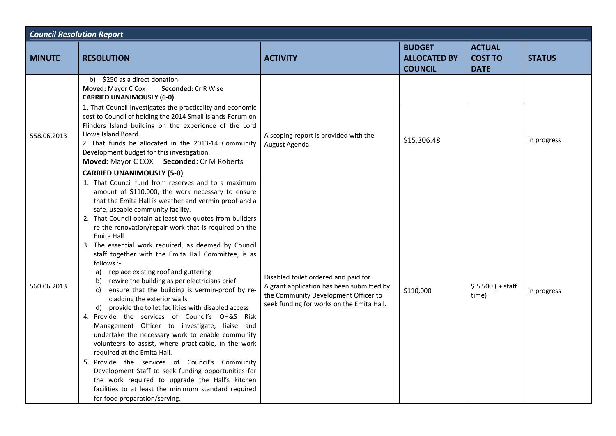| <b>Council Resolution Report</b> |                                                                                                                                                                                                                                                                                                                                                                                                                                                                                                                                                                                                                                                                                                                                                                                                                                                                                                                                                                                                                                                                                                                                                                                                                                 |                                                                                                                                                                         |                                                        |                                                |               |  |
|----------------------------------|---------------------------------------------------------------------------------------------------------------------------------------------------------------------------------------------------------------------------------------------------------------------------------------------------------------------------------------------------------------------------------------------------------------------------------------------------------------------------------------------------------------------------------------------------------------------------------------------------------------------------------------------------------------------------------------------------------------------------------------------------------------------------------------------------------------------------------------------------------------------------------------------------------------------------------------------------------------------------------------------------------------------------------------------------------------------------------------------------------------------------------------------------------------------------------------------------------------------------------|-------------------------------------------------------------------------------------------------------------------------------------------------------------------------|--------------------------------------------------------|------------------------------------------------|---------------|--|
| <b>MINUTE</b>                    | <b>RESOLUTION</b>                                                                                                                                                                                                                                                                                                                                                                                                                                                                                                                                                                                                                                                                                                                                                                                                                                                                                                                                                                                                                                                                                                                                                                                                               | <b>ACTIVITY</b>                                                                                                                                                         | <b>BUDGET</b><br><b>ALLOCATED BY</b><br><b>COUNCIL</b> | <b>ACTUAL</b><br><b>COST TO</b><br><b>DATE</b> | <b>STATUS</b> |  |
|                                  | b) \$250 as a direct donation.<br>Moved: Mayor C Cox<br>Seconded: Cr R Wise<br><b>CARRIED UNANIMOUSLY (6-0)</b>                                                                                                                                                                                                                                                                                                                                                                                                                                                                                                                                                                                                                                                                                                                                                                                                                                                                                                                                                                                                                                                                                                                 |                                                                                                                                                                         |                                                        |                                                |               |  |
| 558.06.2013                      | 1. That Council investigates the practicality and economic<br>cost to Council of holding the 2014 Small Islands Forum on<br>Flinders Island building on the experience of the Lord<br>Howe Island Board.<br>2. That funds be allocated in the 2013-14 Community<br>Development budget for this investigation.<br>Moved: Mayor C COX Seconded: Cr M Roberts<br><b>CARRIED UNANIMOUSLY (5-0)</b>                                                                                                                                                                                                                                                                                                                                                                                                                                                                                                                                                                                                                                                                                                                                                                                                                                  | A scoping report is provided with the<br>August Agenda.                                                                                                                 | \$15,306.48                                            |                                                | In progress   |  |
| 560.06.2013                      | 1. That Council fund from reserves and to a maximum<br>amount of \$110,000, the work necessary to ensure<br>that the Emita Hall is weather and vermin proof and a<br>safe, useable community facility.<br>2. That Council obtain at least two quotes from builders<br>re the renovation/repair work that is required on the<br>Emita Hall.<br>3. The essential work required, as deemed by Council<br>staff together with the Emita Hall Committee, is as<br>follows :-<br>replace existing roof and guttering<br>a)<br>rewire the building as per electricians brief<br>b)<br>ensure that the building is vermin-proof by re-<br>C)<br>cladding the exterior walls<br>d) provide the toilet facilities with disabled access<br>4. Provide the services of Council's OH&S Risk<br>Management Officer to investigate, liaise and<br>undertake the necessary work to enable community<br>volunteers to assist, where practicable, in the work<br>required at the Emita Hall.<br>5. Provide the services of Council's Community<br>Development Staff to seek funding opportunities for<br>the work required to upgrade the Hall's kitchen<br>facilities to at least the minimum standard required<br>for food preparation/serving. | Disabled toilet ordered and paid for.<br>A grant application has been submitted by<br>the Community Development Officer to<br>seek funding for works on the Emita Hall. | \$110,000                                              | $$5500 (+ statf)$<br>time)                     | In progress   |  |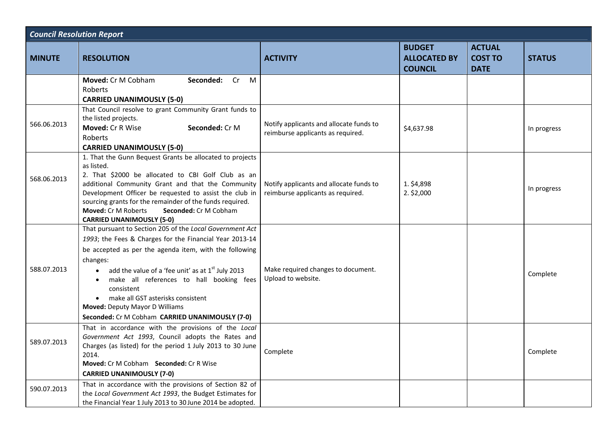| <b>Council Resolution Report</b> |                                                                                                                                                                                                                                                                                                                                                                                                                                                                             |                                                                              |                                                        |                                                |               |  |
|----------------------------------|-----------------------------------------------------------------------------------------------------------------------------------------------------------------------------------------------------------------------------------------------------------------------------------------------------------------------------------------------------------------------------------------------------------------------------------------------------------------------------|------------------------------------------------------------------------------|--------------------------------------------------------|------------------------------------------------|---------------|--|
| <b>MINUTE</b>                    | <b>RESOLUTION</b>                                                                                                                                                                                                                                                                                                                                                                                                                                                           | <b>ACTIVITY</b>                                                              | <b>BUDGET</b><br><b>ALLOCATED BY</b><br><b>COUNCIL</b> | <b>ACTUAL</b><br><b>COST TO</b><br><b>DATE</b> | <b>STATUS</b> |  |
|                                  | <b>Moved: Cr M Cobham</b><br>Seconded: Cr<br>M<br><b>Roberts</b><br><b>CARRIED UNANIMOUSLY (5-0)</b>                                                                                                                                                                                                                                                                                                                                                                        |                                                                              |                                                        |                                                |               |  |
| 566.06.2013                      | That Council resolve to grant Community Grant funds to<br>the listed projects.<br>Moved: Cr R Wise<br>Seconded: Cr M<br>Roberts<br><b>CARRIED UNANIMOUSLY (5-0)</b>                                                                                                                                                                                                                                                                                                         | Notify applicants and allocate funds to<br>reimburse applicants as required. | \$4,637.98                                             |                                                | In progress   |  |
| 568.06.2013                      | 1. That the Gunn Bequest Grants be allocated to projects<br>as listed.<br>2. That \$2000 be allocated to CBI Golf Club as an<br>additional Community Grant and that the Community<br>Development Officer be requested to assist the club in<br>sourcing grants for the remainder of the funds required.<br><b>Moved: Cr M Roberts</b><br>Seconded: Cr M Cobham<br><b>CARRIED UNANIMOUSLY (5-0)</b>                                                                          | Notify applicants and allocate funds to<br>reimburse applicants as required. | 1. \$4,898<br>$2.$ \$2,000                             |                                                | In progress   |  |
| 588.07.2013                      | That pursuant to Section 205 of the Local Government Act<br>1993; the Fees & Charges for the Financial Year 2013-14<br>be accepted as per the agenda item, with the following<br>changes:<br>add the value of a 'fee unit' as at $1st$ July 2013<br>$\bullet$<br>make all references to hall booking fees<br>$\bullet$<br>consistent<br>make all GST asterisks consistent<br>$\bullet$<br>Moved: Deputy Mayor D Williams<br>Seconded: Cr M Cobham CARRIED UNANIMOUSLY (7-0) | Make required changes to document.<br>Upload to website.                     |                                                        |                                                | Complete      |  |
| 589.07.2013                      | That in accordance with the provisions of the Local<br>Government Act 1993, Council adopts the Rates and<br>Charges (as listed) for the period 1 July 2013 to 30 June<br>2014.<br>Moved: Cr M Cobham Seconded: Cr R Wise<br><b>CARRIED UNANIMOUSLY (7-0)</b>                                                                                                                                                                                                                | Complete                                                                     |                                                        |                                                | Complete      |  |
| 590.07.2013                      | That in accordance with the provisions of Section 82 of<br>the Local Government Act 1993, the Budget Estimates for<br>the Financial Year 1 July 2013 to 30 June 2014 be adopted.                                                                                                                                                                                                                                                                                            |                                                                              |                                                        |                                                |               |  |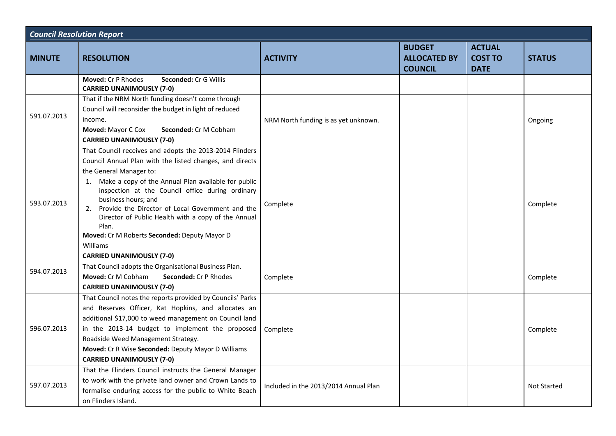| <b>Council Resolution Report</b> |                                                                                                                                                                                                                                                                                                                                                                                                                                                                                                               |                                       |                                                        |                                                |               |  |
|----------------------------------|---------------------------------------------------------------------------------------------------------------------------------------------------------------------------------------------------------------------------------------------------------------------------------------------------------------------------------------------------------------------------------------------------------------------------------------------------------------------------------------------------------------|---------------------------------------|--------------------------------------------------------|------------------------------------------------|---------------|--|
| <b>MINUTE</b>                    | <b>RESOLUTION</b>                                                                                                                                                                                                                                                                                                                                                                                                                                                                                             | <b>ACTIVITY</b>                       | <b>BUDGET</b><br><b>ALLOCATED BY</b><br><b>COUNCIL</b> | <b>ACTUAL</b><br><b>COST TO</b><br><b>DATE</b> | <b>STATUS</b> |  |
|                                  | <b>Moved: Cr P Rhodes</b><br><b>Seconded: Cr G Willis</b><br><b>CARRIED UNANIMOUSLY (7-0)</b>                                                                                                                                                                                                                                                                                                                                                                                                                 |                                       |                                                        |                                                |               |  |
| 591.07.2013                      | That if the NRM North funding doesn't come through<br>Council will reconsider the budget in light of reduced<br>income.<br>Moved: Mayor C Cox<br><b>Seconded: Cr M Cobham</b><br><b>CARRIED UNANIMOUSLY (7-0)</b>                                                                                                                                                                                                                                                                                             | NRM North funding is as yet unknown.  |                                                        |                                                | Ongoing       |  |
| 593.07.2013                      | That Council receives and adopts the 2013-2014 Flinders<br>Council Annual Plan with the listed changes, and directs<br>the General Manager to:<br>1. Make a copy of the Annual Plan available for public<br>inspection at the Council office during ordinary<br>business hours; and<br>Provide the Director of Local Government and the<br>2.<br>Director of Public Health with a copy of the Annual<br>Plan.<br>Moved: Cr M Roberts Seconded: Deputy Mayor D<br>Williams<br><b>CARRIED UNANIMOUSLY (7-0)</b> | Complete                              |                                                        |                                                | Complete      |  |
| 594.07.2013                      | That Council adopts the Organisational Business Plan.<br>Moved: Cr M Cobham<br><b>Seconded: Cr P Rhodes</b><br><b>CARRIED UNANIMOUSLY (7-0)</b>                                                                                                                                                                                                                                                                                                                                                               | Complete                              |                                                        |                                                | Complete      |  |
| 596.07.2013                      | That Council notes the reports provided by Councils' Parks<br>and Reserves Officer, Kat Hopkins, and allocates an<br>additional \$17,000 to weed management on Council land<br>in the 2013-14 budget to implement the proposed<br>Roadside Weed Management Strategy.<br>Moved: Cr R Wise Seconded: Deputy Mayor D Williams<br><b>CARRIED UNANIMOUSLY (7-0)</b>                                                                                                                                                | Complete                              |                                                        |                                                | Complete      |  |
| 597.07.2013                      | That the Flinders Council instructs the General Manager<br>to work with the private land owner and Crown Lands to<br>formalise enduring access for the public to White Beach<br>on Flinders Island.                                                                                                                                                                                                                                                                                                           | Included in the 2013/2014 Annual Plan |                                                        |                                                | Not Started   |  |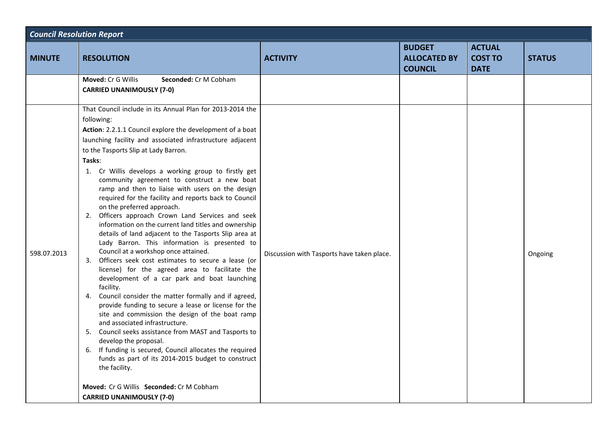| <b>Council Resolution Report</b> |                                                                                                                                                                                                                                                                                                                                                                                                                                                                                                                                                                                                                                                                                                                                                                                                                                                                                                                                                                                                                                                                                                                                                                                                                                                                                                                                                                                                                                                          |                                            |                                                        |                                                |               |  |
|----------------------------------|----------------------------------------------------------------------------------------------------------------------------------------------------------------------------------------------------------------------------------------------------------------------------------------------------------------------------------------------------------------------------------------------------------------------------------------------------------------------------------------------------------------------------------------------------------------------------------------------------------------------------------------------------------------------------------------------------------------------------------------------------------------------------------------------------------------------------------------------------------------------------------------------------------------------------------------------------------------------------------------------------------------------------------------------------------------------------------------------------------------------------------------------------------------------------------------------------------------------------------------------------------------------------------------------------------------------------------------------------------------------------------------------------------------------------------------------------------|--------------------------------------------|--------------------------------------------------------|------------------------------------------------|---------------|--|
| <b>MINUTE</b>                    | <b>RESOLUTION</b>                                                                                                                                                                                                                                                                                                                                                                                                                                                                                                                                                                                                                                                                                                                                                                                                                                                                                                                                                                                                                                                                                                                                                                                                                                                                                                                                                                                                                                        | <b>ACTIVITY</b>                            | <b>BUDGET</b><br><b>ALLOCATED BY</b><br><b>COUNCIL</b> | <b>ACTUAL</b><br><b>COST TO</b><br><b>DATE</b> | <b>STATUS</b> |  |
|                                  | <b>Moved: Cr G Willis</b><br><b>Seconded: Cr M Cobham</b><br><b>CARRIED UNANIMOUSLY (7-0)</b>                                                                                                                                                                                                                                                                                                                                                                                                                                                                                                                                                                                                                                                                                                                                                                                                                                                                                                                                                                                                                                                                                                                                                                                                                                                                                                                                                            |                                            |                                                        |                                                |               |  |
| 598.07.2013                      | That Council include in its Annual Plan for 2013-2014 the<br>following:<br>Action: 2.2.1.1 Council explore the development of a boat<br>launching facility and associated infrastructure adjacent<br>to the Tasports Slip at Lady Barron.<br>Tasks:<br>1. Cr Willis develops a working group to firstly get<br>community agreement to construct a new boat<br>ramp and then to liaise with users on the design<br>required for the facility and reports back to Council<br>on the preferred approach.<br>2. Officers approach Crown Land Services and seek<br>information on the current land titles and ownership<br>details of land adjacent to the Tasports Slip area at<br>Lady Barron. This information is presented to<br>Council at a workshop once attained.<br>3. Officers seek cost estimates to secure a lease (or<br>license) for the agreed area to facilitate the<br>development of a car park and boat launching<br>facility.<br>4. Council consider the matter formally and if agreed,<br>provide funding to secure a lease or license for the<br>site and commission the design of the boat ramp<br>and associated infrastructure.<br>5. Council seeks assistance from MAST and Tasports to<br>develop the proposal.<br>6. If funding is secured, Council allocates the required<br>funds as part of its 2014-2015 budget to construct<br>the facility.<br>Moved: Cr G Willis Seconded: Cr M Cobham<br><b>CARRIED UNANIMOUSLY (7-0)</b> | Discussion with Tasports have taken place. |                                                        |                                                | Ongoing       |  |